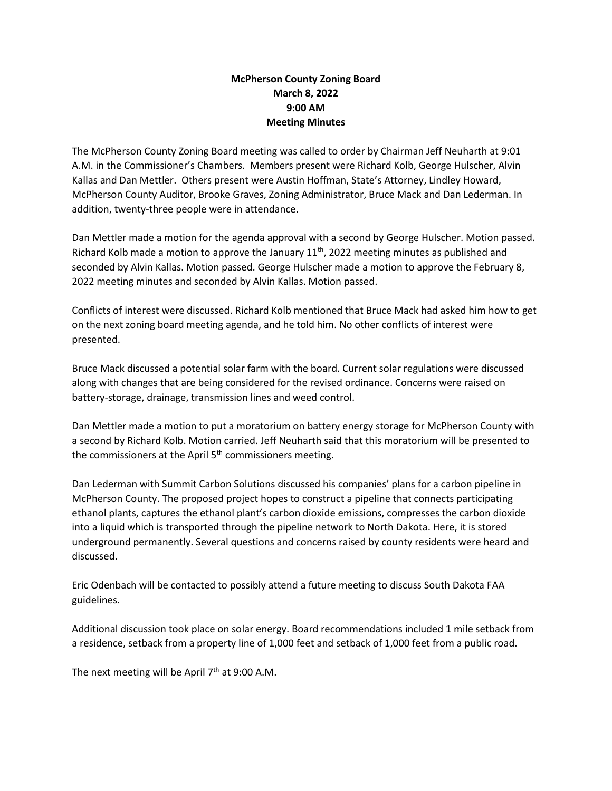## **McPherson County Zoning Board March 8, 2022 9:00 AM Meeting Minutes**

The McPherson County Zoning Board meeting was called to order by Chairman Jeff Neuharth at 9:01 A.M. in the Commissioner's Chambers. Members present were Richard Kolb, George Hulscher, Alvin Kallas and Dan Mettler. Others present were Austin Hoffman, State's Attorney, Lindley Howard, McPherson County Auditor, Brooke Graves, Zoning Administrator, Bruce Mack and Dan Lederman. In addition, twenty-three people were in attendance.

Dan Mettler made a motion for the agenda approval with a second by George Hulscher. Motion passed. Richard Kolb made a motion to approve the January  $11<sup>th</sup>$ , 2022 meeting minutes as published and seconded by Alvin Kallas. Motion passed. George Hulscher made a motion to approve the February 8, 2022 meeting minutes and seconded by Alvin Kallas. Motion passed.

Conflicts of interest were discussed. Richard Kolb mentioned that Bruce Mack had asked him how to get on the next zoning board meeting agenda, and he told him. No other conflicts of interest were presented.

Bruce Mack discussed a potential solar farm with the board. Current solar regulations were discussed along with changes that are being considered for the revised ordinance. Concerns were raised on battery-storage, drainage, transmission lines and weed control.

Dan Mettler made a motion to put a moratorium on battery energy storage for McPherson County with a second by Richard Kolb. Motion carried. Jeff Neuharth said that this moratorium will be presented to the commissioners at the April  $5<sup>th</sup>$  commissioners meeting.

Dan Lederman with Summit Carbon Solutions discussed his companies' plans for a carbon pipeline in McPherson County. The proposed project hopes to construct a pipeline that connects participating ethanol plants, captures the ethanol plant's carbon dioxide emissions, compresses the carbon dioxide into a liquid which is transported through the pipeline network to North Dakota. Here, it is stored underground permanently. Several questions and concerns raised by county residents were heard and discussed.

Eric Odenbach will be contacted to possibly attend a future meeting to discuss South Dakota FAA guidelines.

Additional discussion took place on solar energy. Board recommendations included 1 mile setback from a residence, setback from a property line of 1,000 feet and setback of 1,000 feet from a public road.

The next meeting will be April  $7<sup>th</sup>$  at 9:00 A.M.